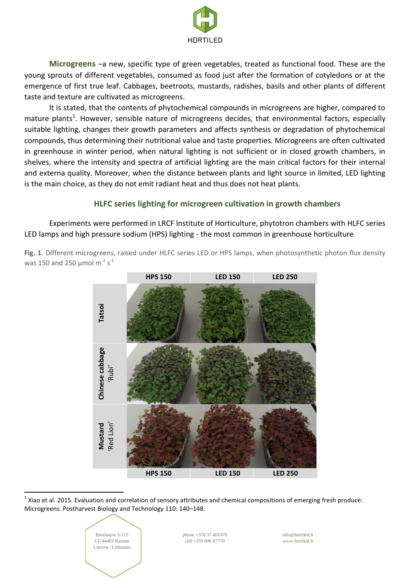

**Microgreens** –a new, specific type of green vegetables, treated as functional food. These are the young sprouts of different vegetables, consumed as food just after the formation of cotyledons or at the emergence of first true leaf. Cabbages, beetroots, mustards, radishes, basils and other plants of different taste and texture are cultivated as microgreens.

It is stated, that the contents of phytochemical compounds in microgreens are higher, compared to mature plants<sup>1</sup>. However, sensible nature of microgreens decides, that environmental factors, especially suitable lighting, changes their growth parameters and affects synthesis or degradation of phytochemical compounds, thus determining their nutritional value and taste properties. Microgreens are often cultivated in greenhouse in winter period, when natural lighting is not sufficient or in closed growth chambers, in shelves, where the intensity and spectra of artificial lighting are the main critical factors for their internal and externa quality. Moreover, when the distance between plants and light source in limited, LED lighting is the main choice, as they do not emit radiant heat and thus does not heat plants.

## **HLFC series lighting for microgreen cultivation in growth chambers**

Experiments were performed in LRCF Institute of Horticulture, phytotron chambers with HLFC series LED lamps and high pressure sodium (HPS) lighting - the most common in greenhouse horticulture

**Fig. 1**. Different microgreens, raised under HLFC series LED or HPS lamps, when photosynthetic photon flux density was 150 and 250  $\mu$ mol m<sup>-2</sup> s<sup>-1</sup>



 $^1$  Xiao et al. 2015. Evaluation and correlation of sensory attributes and chemical compositions of emerging fresh produce: Microgreens. Postharvest Biology and Technology 110: 140–148.



 $\overline{\phantom{a}}$ 

phone +370 37 401978 cell +370 698 87770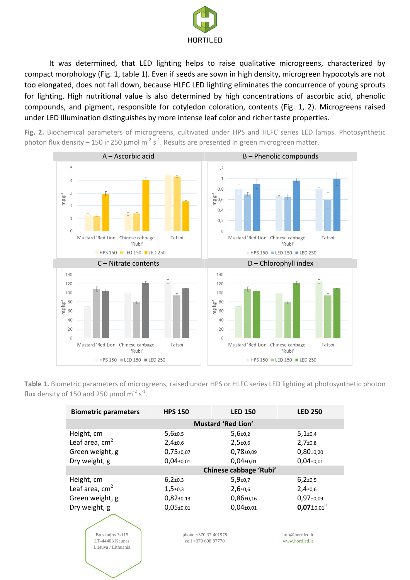

It was determined, that LED lighting helps to raise qualitative microgreens, characterized by compact morphology (Fig. 1, table 1). Even if seeds are sown in high density, microgreen hypocotyls are not too elongated, does not fall down, because HLFC LED lighting eliminates the concurrence of young sprouts for lighting. High nutritional value is also determined by high concentrations of ascorbic acid, phenolic compounds, and pigment, responsible for cotyledon coloration, contents (Fig. 1, 2). Microgreens raised under LED illumination distinguishes by more intense leaf color and richer taste properties.

**Fig. 2.** Biochemical parameters of microgreens, cultivated under HPS and HLFC series LED lamps. Photosynthetic photon flux density – 150 ir 250 µmol m<sup>-2</sup> s<sup>-1</sup>. Results are presented in green microgreen matter.



**Table 1.** Biometric parameters of microgreens, raised under HPS or HLFC series LED lighting at photosynthetic photon flux density of 150 and 250  $\mu$ mol m<sup>-2</sup> s<sup>-1</sup>.

| <b>Biometric parameters</b>                                       | <b>HPS 150</b>                              | <b>LED 150</b>               | <b>LED 250</b>                      |  |  |  |
|-------------------------------------------------------------------|---------------------------------------------|------------------------------|-------------------------------------|--|--|--|
| <b>Mustard 'Red Lion'</b>                                         |                                             |                              |                                     |  |  |  |
| Height, cm                                                        | $5,6{\scriptstyle \pm0,5}$                  | $5,6{\scriptstyle \pm0,2}$   | $5,1{\scriptstyle \pm0.4}$          |  |  |  |
| Leaf area, $cm2$                                                  | $2,4+0,6$                                   | $2,5+0,6$                    | $2,7+0,8$                           |  |  |  |
| Green weight, g                                                   | $0,75 \pm 0.07$                             | $0,78+0,09$                  | $0,80+0,20$                         |  |  |  |
| Dry weight, g                                                     | $0,04_{\pm0,01}$                            | $0,04{\scriptstyle \pm0.01}$ | $0,04_{\pm0,01}$                    |  |  |  |
|                                                                   | Chinese cabbage 'Rubi'                      |                              |                                     |  |  |  |
| Height, cm                                                        | $6,2{\scriptstyle \pm}0,3$                  | $5,9{\scriptstyle \pm0.7}$   | $6,2{\scriptstyle \pm}0,5$          |  |  |  |
| Leaf area, $cm2$                                                  | $1,5+0,3$                                   | $2,6{\scriptstyle \pm0,6}$   | $2,4+0,6$                           |  |  |  |
| Green weight, g                                                   | $0,82{\scriptstyle \pm0.13}$                | $0,86{\scriptstyle \pm0,16}$ | $0,97\pm0,09$                       |  |  |  |
| Dry weight, g                                                     | $0,05+0,01$                                 | $0,04{\scriptstyle \pm0.01}$ | $0.07 \pm 0.01$ <sup>a</sup>        |  |  |  |
| Breslaujos 3-115<br><b>LT-44403 Kaunas</b><br>Lietuva / Lithuania | phone $+37037401978$<br>cell +370 698 87770 |                              | info@hortiled.lt<br>www.hortiled.lt |  |  |  |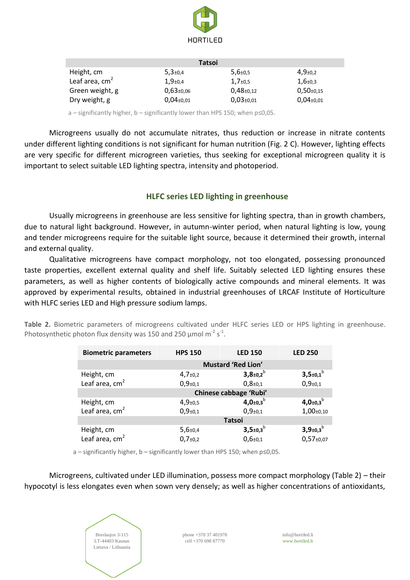

| <b>Tatsoi</b>    |                            |                              |                            |  |  |  |
|------------------|----------------------------|------------------------------|----------------------------|--|--|--|
| Height, cm       | $5,3{\scriptstyle \pm0.4}$ | $5,6{\scriptstyle \pm0.5}$   | $4,9{\scriptstyle \pm0.2}$ |  |  |  |
| Leaf area, $cm2$ | $1,9{\scriptstyle \pm0.4}$ | $1,7{\scriptstyle \pm0.5}$   | $1,6{\scriptstyle \pm0.3}$ |  |  |  |
| Green weight, g  | $0.63 \pm 0.06$            | $0,48{\scriptstyle \pm0.12}$ | $0,50+0,15$                |  |  |  |
| Dry weight, g    | $0.04 \pm 0.01$            | $0.03 + 0.01$                | $0.04 \pm 0.01$            |  |  |  |

a – significantly higher, b – significantly lower than HPS 150; when p≤0,05.

Microgreens usually do not accumulate nitrates, thus reduction or increase in nitrate contents under different lighting conditions is not significant for human nutrition (Fig. 2 C). However, lighting effects are very specific for different microgreen varieties, thus seeking for exceptional microgreen quality it is important to select suitable LED lighting spectra, intensity and photoperiod.

# **HLFC series LED lighting in greenhouse**

Usually microgreens in greenhouse are less sensitive for lighting spectra, than in growth chambers, due to natural light background. However, in autumn-winter period, when natural lighting is low, young and tender microgreens require for the suitable light source, because it determined their growth, internal and external quality.

Qualitative microgreens have compact morphology, not too elongated, possessing pronounced taste properties, excellent external quality and shelf life. Suitably selected LED lighting ensures these parameters, as well as higher contents of biologically active compounds and mineral elements. It was approved by experimental results, obtained in industrial greenhouses of LRCAF Institute of Horticulture with HLFC series LED and High pressure sodium lamps.

**Table 2.** Biometric parameters of microgreens cultivated under HLFC series LED or HPS lighting in greenhouse. Photosynthetic photon flux density was 150 and 250  $\mu$ mol m<sup>-2</sup> s<sup>-1</sup>.

| <b>Biometric parameters</b> | <b>HPS 150</b>             | <b>LED 150</b>                     | <b>LED 250</b>                     |  |  |
|-----------------------------|----------------------------|------------------------------------|------------------------------------|--|--|
|                             | <b>Mustard 'Red Lion'</b>  |                                    |                                    |  |  |
| Height, cm                  | $4,7{\scriptstyle \pm0,2}$ | $3,8{\pm}0,2^{b}$                  | $3,5+0,1^b$                        |  |  |
| Leaf area, $cm2$            | $0,9{\scriptstyle \pm0,1}$ | $0,8{\scriptstyle \pm0,1}$         | $0,9{\scriptstyle \pm0,1}$         |  |  |
|                             | Chinese cabbage 'Rubi'     |                                    |                                    |  |  |
| Height, cm                  | $4,9{\scriptstyle \pm0,5}$ | $4,0{\scriptstyle \pm0,3}^{\rm b}$ | $4,0{\scriptstyle \pm0,3}^{\rm b}$ |  |  |
| Leaf area, $cm2$            | $0,9{\scriptstyle \pm0,1}$ | $0,9{\scriptstyle \pm0,1}$         | $1,00+0,10$                        |  |  |
|                             |                            | <b>Tatsoi</b>                      |                                    |  |  |
| Height, cm                  | $5,6{\scriptstyle \pm0,4}$ | $3,5{\scriptstyle \pm0,3}^{\rm b}$ | $3,9{\pm}0,3^{b}$                  |  |  |
| Leaf area, $cm2$            | $0,7{\scriptstyle \pm0,2}$ | $0,6{\scriptstyle \pm0,1}$         | $0,57{\scriptstyle \pm0.07}$       |  |  |

a – significantly higher, b – significantly lower than HPS 150; when p≤0,05.

Microgreens, cultivated under LED illumination, possess more compact morphology (Table 2) – their hypocotyl is less elongates even when sown very densely; as well as higher concentrations of antioxidants,

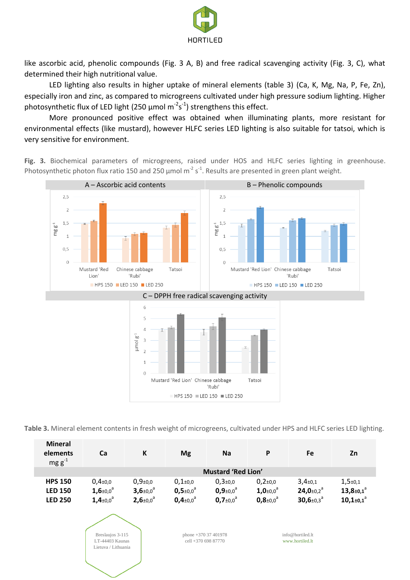

like ascorbic acid, phenolic compounds (Fig. 3 A, B) and free radical scavenging activity (Fig. 3, C), what determined their high nutritional value.

LED lighting also results in higher uptake of mineral elements (table 3) (Ca, K, Mg, Na, P, Fe, Zn), especially iron and zinc, as compared to microgreens cultivated under high pressure sodium lighting. Higher photosynthetic flux of LED light (250  $\mu$ mol m<sup>-2</sup>s<sup>-1</sup>) strengthens this effect.

More pronounced positive effect was obtained when illuminating plants, more resistant for environmental effects (like mustard), however HLFC series LED lighting is also suitable for tatsoi, which is very sensitive for environment.

**Fig. 3.** Biochemical parameters of microgreens, raised under HOS and HLFC series lighting in greenhouse. Photosynthetic photon flux ratio 150 and 250  $\mu$ mol m<sup>-2</sup> s<sup>-1</sup>. Results are presented in green plant weight.



**Table 3.** Mineral element contents in fresh weight of microgreens, cultivated under HPS and HLFC series LED lighting.

| <b>Mineral</b><br>elements<br>$mg g^{-1}$ | Сa                                 |                                    | <b>Mg</b>                          | Na                         | P                            | Fe                                  | Zn                                  |
|-------------------------------------------|------------------------------------|------------------------------------|------------------------------------|----------------------------|------------------------------|-------------------------------------|-------------------------------------|
| <b>Mustard 'Red Lion'</b>                 |                                    |                                    |                                    |                            |                              |                                     |                                     |
| <b>HPS 150</b>                            | $0.4{\scriptstyle \pm0.0}$         | $0,9{\scriptstyle \pm0,0}$         | $0,1{\scriptstyle \pm0.0}$         | $0.3 + 0.0$                | $0,2{\scriptstyle \pm}0,0$   | $3,4{\scriptstyle \pm0.1}$          | $1,5{\scriptstyle \pm0.1}$          |
| <b>LED 150</b>                            | $1,6{\scriptstyle \pm0.0}^{\rm a}$ | $3,6{\scriptstyle \pm0.0}^{\circ}$ | $0,5{\scriptstyle \pm0.0}^{\circ}$ | $0.9 \pm 0.0$ <sup>3</sup> | $1,0_{\pm 0,0}$ <sup>a</sup> | 24,0 $\pm$ 0,2 <sup>a</sup>         | $13,8{\pm}0.1^a$                    |
| <b>LED 250</b>                            | $1,4{\scriptstyle \pm0,0}^{\rm a}$ | $2,6 \pm 0.0$ <sup>a</sup>         | $0,4{\scriptstyle \pm0,0}^{\rm a}$ | $0.7 \pm 0.0^a$            | $0.8 \pm 0.0$ <sup>a</sup>   | $30,6{\scriptstyle \pm0,3}^{\rm a}$ | $10,1{\scriptstyle \pm0,1}^{\rm a}$ |

Breslaujos 3-115 LT-44403 Kaunas Lietuva / Lithuania

phone +370 37 401978 cell +370 698 87770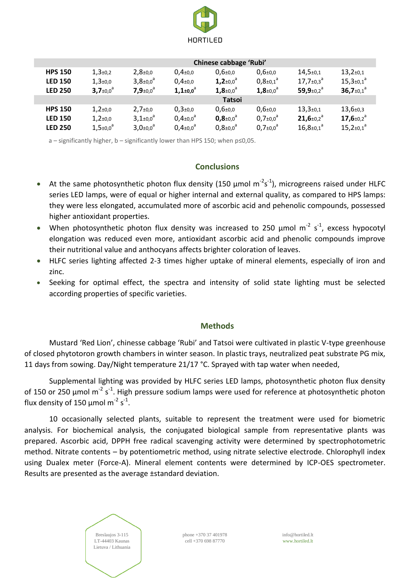

|                | Chinese cabbage 'Rubi'             |                                    |                                    |                                    |                                    |                                     |                                     |
|----------------|------------------------------------|------------------------------------|------------------------------------|------------------------------------|------------------------------------|-------------------------------------|-------------------------------------|
| <b>HPS 150</b> | $1,3{\scriptstyle \pm0,2}$         | $2,8{\scriptstyle \pm0.0}$         | $0,4{\scriptstyle \pm0,0}$         | $0,6{\scriptstyle \pm0.0}$         | $0,6{\scriptstyle \pm0.0}$         | $14,5{\scriptstyle \pm0,1}$         | $13,2{\scriptstyle \pm0,1}$         |
| <b>LED 150</b> | $1,3{\scriptstyle \pm0.0}$         | $3,8{\scriptstyle \pm0.0}^{\circ}$ | $0,4{\scriptstyle \pm0,0}$         | $1,2{\scriptstyle \pm0,0}^{\rm a}$ | $0,8{\scriptstyle \pm0,1}^{\rm a}$ | $17,7_{\pm}0,3^{\circ}$             | $15,3{\scriptstyle \pm0,1}^a$       |
| <b>LED 250</b> | $3,7{\scriptstyle \pm0.0}^{\circ}$ | 7,9 $\pm$ 0,0 $^{\circ}$           | $1,1+0.0^a$                        | $1,8{\scriptstyle \pm0.0}^{\circ}$ | $1,8{\scriptstyle \pm0.0}^{\circ}$ | 59,9 $\pm$ 0,2 <sup>a</sup>         | $36,7{\scriptstyle \pm0.1}^{\circ}$ |
|                |                                    |                                    |                                    | <b>Tatsoi</b>                      |                                    |                                     |                                     |
| <b>HPS 150</b> | $1,2{\scriptstyle \pm0.0}$         | $2,7{\scriptstyle \pm0.0}$         | $0,3{\scriptstyle \pm0.0}$         | $0,6{\scriptstyle \pm0.0}$         | $0,6{\scriptstyle \pm0.0}$         | $13,3{\scriptstyle \pm0,1}$         | $13,6{\scriptstyle \pm0,3}$         |
| <b>LED 150</b> | $1,2{\scriptstyle \pm0.0}$         | $3,1{\scriptstyle \pm0.0}^{\circ}$ | $0,4{\scriptstyle \pm0.0}^{\rm a}$ | $0,8{\scriptstyle \pm0.0}^{\circ}$ | $0.7 \pm 0.0^a$                    | $21,6{\scriptstyle \pm0.2}^{\rm a}$ | 17,6 $\pm$ 0,2 <sup>a</sup>         |
| <b>LED 250</b> | $1,5{\scriptstyle \pm0.0}^{\rm a}$ | $3,0{\scriptstyle \pm0,0}^{\circ}$ | $0,4{\scriptstyle \pm0.0}^{\rm a}$ | $0,8{\scriptstyle \pm0.0}^{\rm a}$ | $0.7 \pm 0.0^{\circ}$              | $16,8{\scriptstyle \pm0,1}^{\rm a}$ | $15,2{\scriptstyle \pm0,1}^a$       |

a – significantly higher, b – significantly lower than HPS 150; when p≤0,05.

#### **Conclusions**

- At the same photosynthetic photon flux density (150  $\mu$ mol m<sup>-2</sup>s<sup>-1</sup>), microgreens raised under HLFC series LED lamps, were of equal or higher internal and external quality, as compared to HPS lamps: they were less elongated, accumulated more of ascorbic acid and pehenolic compounds, possessed higher antioxidant properties.
- When photosynthetic photon flux density was increased to 250  $\mu$ mol m<sup>-2</sup> s<sup>-1</sup>, excess hypocotyl elongation was reduced even more, antioxidant ascorbic acid and phenolic compounds improve their nutritional value and anthocyans affects brighter coloration of leaves.
- HLFC series lighting affected 2-3 times higher uptake of mineral elements, especially of iron and zinc.
- Seeking for optimal effect, the spectra and intensity of solid state lighting must be selected according properties of specific varieties.

## **Methods**

Mustard 'Red Lion', chinesse cabbage 'Rubi' and Tatsoi were cultivated in plastic V-type greenhouse of closed phytotoron growth chambers in winter season. In plastic trays, neutralized peat substrate PG mix, 11 days from sowing. Day/Night temperature 21/17 °C. Sprayed with tap water when needed,

Supplemental lighting was provided by HLFC series LED lamps, photosynthetic photon flux density of 150 or 250 µmol m<sup>-2</sup> s<sup>-1</sup>. High pressure sodium lamps were used for reference at photosynthetic photon flux density of 150  $\mu$ mol m<sup>-2</sup> s<sup>-1</sup>.

10 occasionally selected plants, suitable to represent the treatment were used for biometric analysis. For biochemical analysis, the conjugated biological sample from representative plants was prepared. Ascorbic acid, DPPH free radical scavenging activity were determined by spectrophotometric method. Nitrate contents – by potentiometric method, using nitrate selective electrode. Chlorophyll index using Dualex meter (Force-A). Mineral element contents were determined by ICP-OES spectrometer. Results are presented as the average ±standard deviation.



phone +370 37 401978 cell +370 698 87770